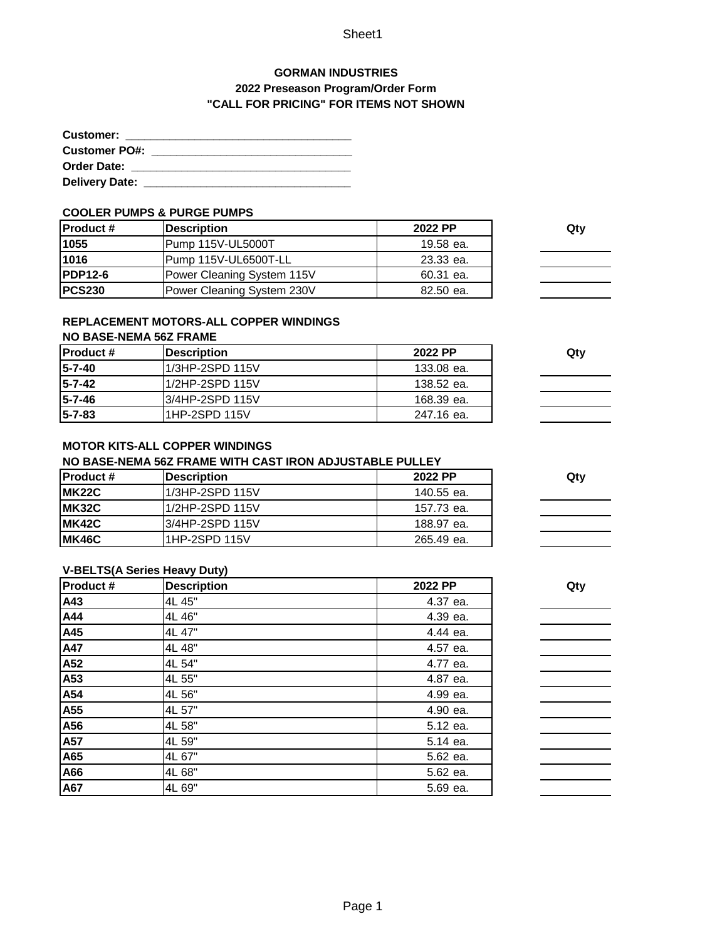## Sheet1

# **GORMAN INDUSTRIES 2022 Preseason Program/Order Form "CALL FOR PRICING" FOR ITEMS NOT SHOWN**

| <b>Customer:</b>      |  |
|-----------------------|--|
| <b>Customer PO#:</b>  |  |
| <b>Order Date:</b>    |  |
| <b>Delivery Date:</b> |  |

#### **COOLER PUMPS & PURGE PUMPS**

| <b>Product #</b> | <b>Description</b>         | 2022 PP   | Qty |
|------------------|----------------------------|-----------|-----|
| 1055             | Pump 115V-UL5000T          | 19.58 ea. |     |
| 1016             | Pump 115V-UL6500T-LL       | 23.33 ea. |     |
| <b>PDP12-6</b>   | Power Cleaning System 115V | 60.31 ea. |     |
| <b>PCS230</b>    | Power Cleaning System 230V | 82.50 ea. |     |

## **REPLACEMENT MOTORS-ALL COPPER WINDINGS**

## **NO BASE-NEMA 56Z FRAME**

| <b>IProduct #</b> | <b>Description</b> | 2022 PP    | Qtv |
|-------------------|--------------------|------------|-----|
| 15-7-40           | 1/3HP-2SPD 115V    | 133.08 ea. |     |
| 15-7-42           | 1/2HP-2SPD 115V    | 138.52 ea. |     |
| $5 - 7 - 46$      | 3/4HP-2SPD 115V    | 168.39 ea. |     |
| $15 - 7 - 83$     | 1HP-2SPD 115V      | 247.16 ea. |     |

## **MOTOR KITS-ALL COPPER WINDINGS**

#### **NO BASE-NEMA 56Z FRAME WITH CAST IRON ADJUSTABLE PULLEY**

| IProduct #    | <b>IDescription</b> | 2022 PP    | Qty |
|---------------|---------------------|------------|-----|
| <b>IMK22C</b> | 1/3HP-2SPD 115V     | 140.55 ea. |     |
| <b>IMK32C</b> | 1/2HP-2SPD 115V     | 157.73 ea. |     |
| <b>IMK42C</b> | 3/4HP-2SPD 115V     | 188.97 ea. |     |
| MK46C         | I1HP-2SPD 115V      | 265.49 ea. |     |

#### **V-BELTS(A Series Heavy Duty)**

| <b>Product#</b> | <b>Description</b> | 2022 PP  | Qty |
|-----------------|--------------------|----------|-----|
| A43             | 4L 45"             | 4.37 ea. |     |
| A44             | 4L 46"             | 4.39 ea. |     |
| A45             | 4L 47"             | 4.44 ea. |     |
| A47             | 4L 48"             | 4.57 ea. |     |
| A52             | 4L 54"             | 4.77 ea. |     |
| A53             | 4L 55"             | 4.87 ea. |     |
| A54             | 4L 56"             | 4.99 ea. |     |
| A55             | 4L 57"             | 4.90 ea. |     |
| A56             | 4L 58"             | 5.12 ea. |     |
| A57             | 4L 59"             | 5.14 ea. |     |
| A65             | 4L 67"             | 5.62 ea. |     |
| A66             | 4L 68"             | 5.62 ea. |     |
| A67             | 4L 69"             | 5.69 ea. |     |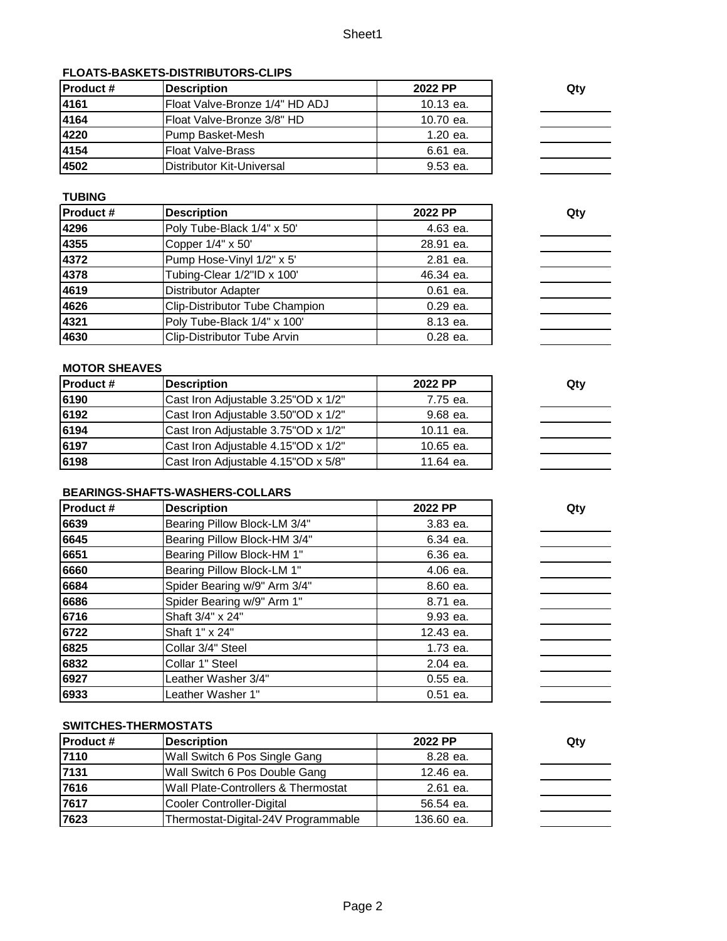## **FLOATS-BASKETS-DISTRIBUTORS-CLIPS**

| <b>IProduct #</b> | <b>Description</b>                | 2022 PP   | Qty |
|-------------------|-----------------------------------|-----------|-----|
| 4161              | Float Valve-Bronze 1/4" HD ADJ    | 10.13 ea. |     |
| 4164              | Float Valve-Bronze 3/8" HD        | 10.70 ea. |     |
| 4220              | <b>Pump Basket-Mesh</b>           | 1.20 ea.  |     |
| 4154              | <b>Float Valve-Brass</b>          | 6.61 ea.  |     |
| 4502              | <b>IDistributor Kit-Universal</b> | 9.53 ea.  |     |

# **TUBING**

| <b>Product #</b> | <b>Description</b>             | 2022 PP    | Qty |
|------------------|--------------------------------|------------|-----|
| 4296             | Poly Tube-Black 1/4" x 50'     | 4.63 ea.   |     |
| 4355             | Copper 1/4" x 50'              | 28.91 ea.  |     |
| 4372             | Pump Hose-Vinyl 1/2" x 5'      | 2.81 ea.   |     |
| 4378             | Tubing-Clear 1/2"ID x 100'     | 46.34 ea.  |     |
| 4619             | <b>Distributor Adapter</b>     | $0.61$ ea. |     |
| 4626             | Clip-Distributor Tube Champion | 0.29 ea.   |     |
| 4321             | Poly Tube-Black 1/4" x 100'    | 8.13 ea.   |     |
| 4630             | Clip-Distributor Tube Arvin    | 0.28 ea.   |     |

### **MOTOR SHEAVES**

| <b>Product #</b> | <b>Description</b>                  | 2022 PP   | Qty |
|------------------|-------------------------------------|-----------|-----|
| 6190             | Cast Iron Adjustable 3.25"OD x 1/2" | 7.75 ea.  |     |
| 6192             | Cast Iron Adjustable 3.50"OD x 1/2" | 9.68 ea.  |     |
| 6194             | Cast Iron Adjustable 3.75"OD x 1/2" | 10.11 ea. |     |
| 6197             | Cast Iron Adjustable 4.15"OD x 1/2" | 10.65 ea. |     |
| 6198             | Cast Iron Adjustable 4.15"OD x 5/8" | 11.64 ea. |     |

#### **BEARINGS-SHAFTS-WASHERS-COLLARS**

| <b>Product #</b> | <b>Description</b>           | 2022 PP    | Qty |
|------------------|------------------------------|------------|-----|
| 6639             | Bearing Pillow Block-LM 3/4" | 3.83 ea.   |     |
| 6645             | Bearing Pillow Block-HM 3/4" | 6.34 ea.   |     |
| 6651             | Bearing Pillow Block-HM 1"   | 6.36 ea.   |     |
| 6660             | Bearing Pillow Block-LM 1"   | 4.06 ea.   |     |
| 6684             | Spider Bearing w/9" Arm 3/4" | 8.60 ea.   |     |
| 6686             | Spider Bearing w/9" Arm 1"   | 8.71 ea.   |     |
| 6716             | Shaft 3/4" x 24"             | 9.93 ea.   |     |
| 6722             | Shaft 1" x 24"               | 12.43 ea.  |     |
| 6825             | Collar 3/4" Steel            | 1.73 ea.   |     |
| 6832             | Collar 1" Steel              | 2.04 ea.   |     |
| 6927             | Leather Washer 3/4"          | $0.55$ ea. |     |
| 6933             | Leather Washer 1"            | $0.51$ ea. |     |

#### **SWITCHES-THERMOSTATS**

| <b>Product #</b> | <b>Description</b>                  | 2022 PP    | Qty |
|------------------|-------------------------------------|------------|-----|
| 7110             | Wall Switch 6 Pos Single Gang       | 8.28 ea.   |     |
| 7131             | Wall Switch 6 Pos Double Gang       | 12.46 ea.  |     |
| 7616             | Wall Plate-Controllers & Thermostat | 2.61 ea.   |     |
| 7617             | Cooler Controller-Digital           | 56.54 ea.  |     |
| 7623             | Thermostat-Digital-24V Programmable | 136.60 ea. |     |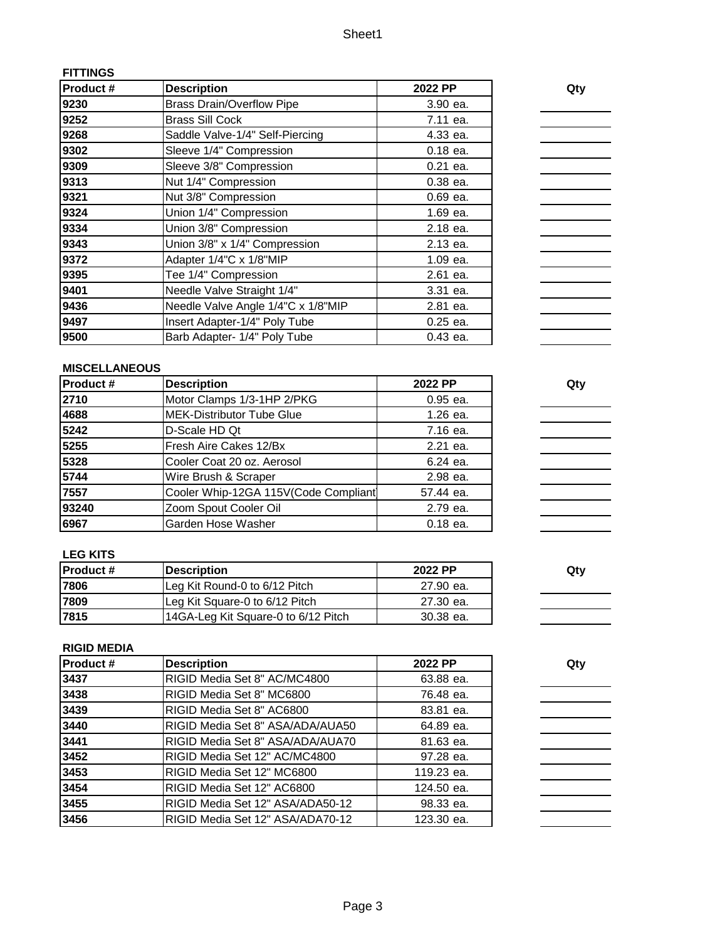| Product# | <b>Description</b>                 | 2022 PP    | Qty |
|----------|------------------------------------|------------|-----|
| 9230     | <b>Brass Drain/Overflow Pipe</b>   | 3.90 ea.   |     |
| 9252     | <b>Brass Sill Cock</b>             | 7.11 ea.   |     |
| 9268     | Saddle Valve-1/4" Self-Piercing    | 4.33 ea.   |     |
| 9302     | Sleeve 1/4" Compression            | $0.18$ ea. |     |
| 9309     | Sleeve 3/8" Compression            | $0.21$ ea. |     |
| 9313     | Nut 1/4" Compression               | $0.38$ ea. |     |
| 9321     | Nut 3/8" Compression               | $0.69$ ea. |     |
| 9324     | Union 1/4" Compression             | 1.69 ea.   |     |
| 9334     | Union 3/8" Compression             | 2.18 ea.   |     |
| 9343     | Union 3/8" x 1/4" Compression      | 2.13 ea.   |     |
| 9372     | Adapter 1/4"C x 1/8"MIP            | 1.09 ea.   |     |
| 9395     | Tee 1/4" Compression               | 2.61 ea.   |     |
| 9401     | Needle Valve Straight 1/4"         | 3.31 ea.   |     |
| 9436     | Needle Valve Angle 1/4"C x 1/8"MIP | 2.81 ea.   |     |
| 9497     | Insert Adapter-1/4" Poly Tube      | $0.25$ ea. |     |
| 9500     | Barb Adapter- 1/4" Poly Tube       | 0.43 ea.   |     |

# **MISCELLANEOUS**

**FITTINGS**

| Product# | <b>Description</b>                   | 2022 PP    | Qty |
|----------|--------------------------------------|------------|-----|
| 2710     | Motor Clamps 1/3-1HP 2/PKG           | 0.95 ea.   |     |
| 4688     | MEK-Distributor Tube Glue            | 1.26 ea.   |     |
| 5242     | D-Scale HD Qt                        | 7.16 ea.   |     |
| 5255     | Fresh Aire Cakes 12/Bx               | 2.21 ea.   |     |
| 5328     | Cooler Coat 20 oz. Aerosol           | 6.24 ea.   |     |
| 5744     | Wire Brush & Scraper                 | 2.98 ea.   |     |
| 7557     | Cooler Whip-12GA 115V(Code Compliant | 57.44 ea.  |     |
| 93240    | Zoom Spout Cooler Oil                | 2.79 ea.   |     |
| 6967     | Garden Hose Washer                   | $0.18$ ea. |     |

#### **LEG KITS**

| <b>IProduct #</b> | <b>IDescription</b>                 | 2022 PP   | Qtv |
|-------------------|-------------------------------------|-----------|-----|
| 7806              | Leg Kit Round-0 to 6/12 Pitch       | 27.90 ea. |     |
| 7809              | Leg Kit Square-0 to 6/12 Pitch      | 27.30 ea. |     |
| 17815             | 14GA-Leg Kit Square-0 to 6/12 Pitch | 30.38 ea. |     |

# **RIGID MEDIA**

| <b>Product #</b> | <b>Description</b>               | 2022 PP    | Qty |
|------------------|----------------------------------|------------|-----|
| 3437             | RIGID Media Set 8" AC/MC4800     | 63.88 ea.  |     |
| 3438             | RIGID Media Set 8" MC6800        | 76.48 ea.  |     |
| 3439             | RIGID Media Set 8" AC6800        | 83.81 ea.  |     |
| 3440             | RIGID Media Set 8" ASA/ADA/AUA50 | 64.89 ea.  |     |
| 3441             | RIGID Media Set 8" ASA/ADA/AUA70 | 81.63 ea.  |     |
| 3452             | RIGID Media Set 12" AC/MC4800    | 97.28 ea.  |     |
| 3453             | RIGID Media Set 12" MC6800       | 119.23 ea. |     |
| 3454             | RIGID Media Set 12" AC6800       | 124.50 ea. |     |
| 3455             | RIGID Media Set 12" ASA/ADA50-12 | 98.33 ea.  |     |
| 3456             | RIGID Media Set 12" ASA/ADA70-12 | 123.30 ea. |     |

| wuy |  |  |
|-----|--|--|
|     |  |  |
|     |  |  |
|     |  |  |
|     |  |  |

- 
-